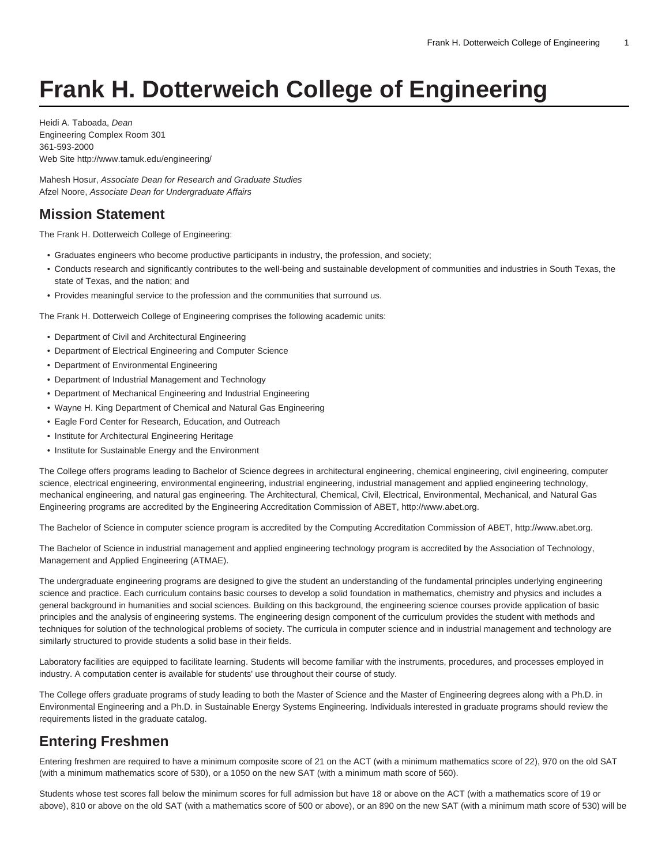# **Frank H. Dotterweich College of Engineering**

Heidi A. Taboada, Dean Engineering Complex Room 301 361-593-2000 Web Site <http://www.tamuk.edu/engineering/>

Mahesh Hosur, Associate Dean for Research and Graduate Studies Afzel Noore, Associate Dean for Undergraduate Affairs

#### **Mission Statement**

The Frank H. Dotterweich College of Engineering:

- Graduates engineers who become productive participants in industry, the profession, and society;
- Conducts research and significantly contributes to the well-being and sustainable development of communities and industries in South Texas, the state of Texas, and the nation; and
- Provides meaningful service to the profession and the communities that surround us.

The Frank H. Dotterweich College of Engineering comprises the following academic units:

- Department of Civil and Architectural Engineering
- Department of Electrical Engineering and Computer Science
- Department of Environmental Engineering
- Department of Industrial Management and Technology
- Department of Mechanical Engineering and Industrial Engineering
- Wayne H. King Department of Chemical and Natural Gas Engineering
- Eagle Ford Center for Research, Education, and Outreach
- Institute for Architectural Engineering Heritage
- Institute for Sustainable Energy and the Environment

The College offers programs leading to Bachelor of Science degrees in architectural engineering, chemical engineering, civil engineering, computer science, electrical engineering, environmental engineering, industrial engineering, industrial management and applied engineering technology, mechanical engineering, and natural gas engineering. The Architectural, Chemical, Civil, Electrical, Environmental, Mechanical, and Natural Gas Engineering programs are accredited by the Engineering Accreditation Commission of ABET, [http://www.abet.org.](http://www.abet.org/)

The Bachelor of Science in computer science program is accredited by the Computing Accreditation Commission of ABET, [http://www.abet.org.](http://www.abet.org/)

The Bachelor of Science in industrial management and applied engineering technology program is accredited by the Association of Technology, Management and Applied Engineering (ATMAE).

The undergraduate engineering programs are designed to give the student an understanding of the fundamental principles underlying engineering science and practice. Each curriculum contains basic courses to develop a solid foundation in mathematics, chemistry and physics and includes a general background in humanities and social sciences. Building on this background, the engineering science courses provide application of basic principles and the analysis of engineering systems. The engineering design component of the curriculum provides the student with methods and techniques for solution of the technological problems of society. The curricula in computer science and in industrial management and technology are similarly structured to provide students a solid base in their fields.

Laboratory facilities are equipped to facilitate learning. Students will become familiar with the instruments, procedures, and processes employed in industry. A computation center is available for students' use throughout their course of study.

The College offers graduate programs of study leading to both the Master of Science and the Master of Engineering degrees along with a Ph.D. in Environmental Engineering and a Ph.D. in Sustainable Energy Systems Engineering. Individuals interested in graduate programs should review the requirements listed in the graduate catalog.

# **Entering Freshmen**

Entering freshmen are required to have a minimum composite score of 21 on the ACT (with a minimum mathematics score of 22), 970 on the old SAT (with a minimum mathematics score of 530), or a 1050 on the new SAT (with a minimum math score of 560).

Students whose test scores fall below the minimum scores for full admission but have 18 or above on the ACT (with a mathematics score of 19 or above), 810 or above on the old SAT (with a mathematics score of 500 or above), or an 890 on the new SAT (with a minimum math score of 530) will be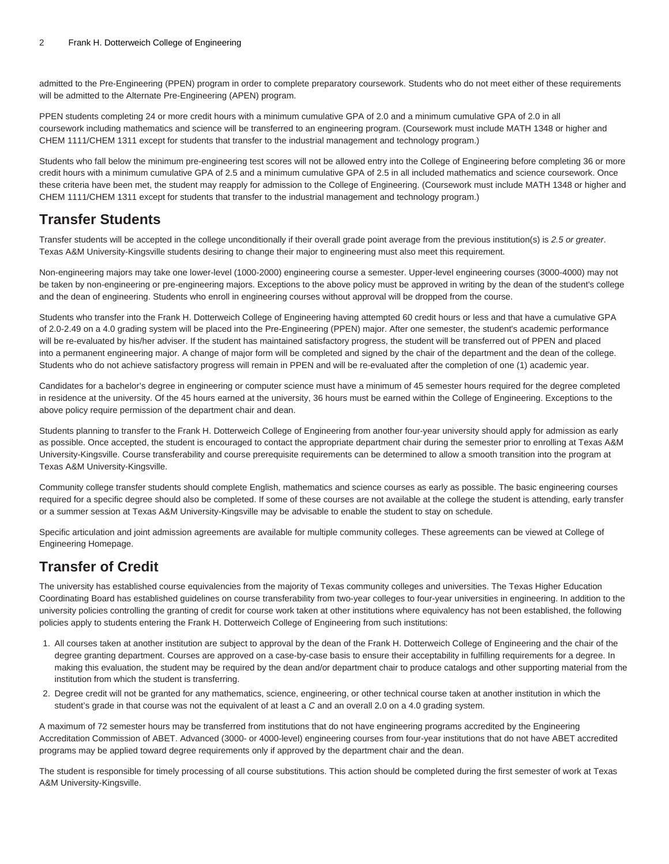admitted to the Pre-Engineering (PPEN) program in order to complete preparatory coursework. Students who do not meet either of these requirements will be admitted to the Alternate Pre-Engineering (APEN) program.

PPEN students completing 24 or more credit hours with a minimum cumulative GPA of 2.0 and a minimum cumulative GPA of 2.0 in all coursework including mathematics and science will be transferred to an engineering program. (Coursework must include MATH 1348 or higher and CHEM 1111/CHEM 1311 except for students that transfer to the industrial management and technology program.)

Students who fall below the minimum pre-engineering test scores will not be allowed entry into the College of Engineering before completing 36 or more credit hours with a minimum cumulative GPA of 2.5 and a minimum cumulative GPA of 2.5 in all included mathematics and science coursework. Once these criteria have been met, the student may reapply for admission to the College of Engineering. (Coursework must include MATH 1348 or higher and CHEM 1111/CHEM 1311 except for students that transfer to the industrial management and technology program.)

#### **Transfer Students**

Transfer students will be accepted in the college unconditionally if their overall grade point average from the previous institution(s) is 2.5 or greater. Texas A&M University-Kingsville students desiring to change their major to engineering must also meet this requirement.

Non-engineering majors may take one lower-level (1000-2000) engineering course a semester. Upper-level engineering courses (3000-4000) may not be taken by non-engineering or pre-engineering majors. Exceptions to the above policy must be approved in writing by the dean of the student's college and the dean of engineering. Students who enroll in engineering courses without approval will be dropped from the course.

Students who transfer into the Frank H. Dotterweich College of Engineering having attempted 60 credit hours or less and that have a cumulative GPA of 2.0-2.49 on a 4.0 grading system will be placed into the Pre-Engineering (PPEN) major. After one semester, the student's academic performance will be re-evaluated by his/her adviser. If the student has maintained satisfactory progress, the student will be transferred out of PPEN and placed into a permanent engineering major. A change of major form will be completed and signed by the chair of the department and the dean of the college. Students who do not achieve satisfactory progress will remain in PPEN and will be re-evaluated after the completion of one (1) academic year.

Candidates for a bachelor's degree in engineering or computer science must have a minimum of 45 semester hours required for the degree completed in residence at the university. Of the 45 hours earned at the university, 36 hours must be earned within the College of Engineering. Exceptions to the above policy require permission of the department chair and dean.

Students planning to transfer to the Frank H. Dotterweich College of Engineering from another four-year university should apply for admission as early as possible. Once accepted, the student is encouraged to contact the appropriate department chair during the semester prior to enrolling at Texas A&M University-Kingsville. Course transferability and course prerequisite requirements can be determined to allow a smooth transition into the program at Texas A&M University-Kingsville.

Community college transfer students should complete English, mathematics and science courses as early as possible. The basic engineering courses required for a specific degree should also be completed. If some of these courses are not available at the college the student is attending, early transfer or a summer session at Texas A&M University-Kingsville may be advisable to enable the student to stay on schedule.

Specific articulation and joint admission agreements are available for multiple community colleges. These agreements can be viewed at [College of](http://www.tamuk.edu/engineering/) [Engineering Homepage](http://www.tamuk.edu/engineering/).

# **Transfer of Credit**

The university has established course equivalencies from the majority of Texas community colleges and universities. The Texas Higher Education Coordinating Board has established guidelines on course transferability from two-year colleges to four-year universities in engineering. In addition to the university policies controlling the granting of credit for course work taken at other institutions where equivalency has not been established, the following policies apply to students entering the Frank H. Dotterweich College of Engineering from such institutions:

- 1. All courses taken at another institution are subject to approval by the dean of the Frank H. Dotterweich College of Engineering and the chair of the degree granting department. Courses are approved on a case-by-case basis to ensure their acceptability in fulfilling requirements for a degree. In making this evaluation, the student may be required by the dean and/or department chair to produce catalogs and other supporting material from the institution from which the student is transferring.
- 2. Degree credit will not be granted for any mathematics, science, engineering, or other technical course taken at another institution in which the student's grade in that course was not the equivalent of at least a C and an overall 2.0 on a 4.0 grading system.

A maximum of 72 semester hours may be transferred from institutions that do not have engineering programs accredited by the Engineering Accreditation Commission of ABET. Advanced (3000- or 4000-level) engineering courses from four-year institutions that do not have ABET accredited programs may be applied toward degree requirements only if approved by the department chair and the dean.

The student is responsible for timely processing of all course substitutions. This action should be completed during the first semester of work at Texas A&M University-Kingsville.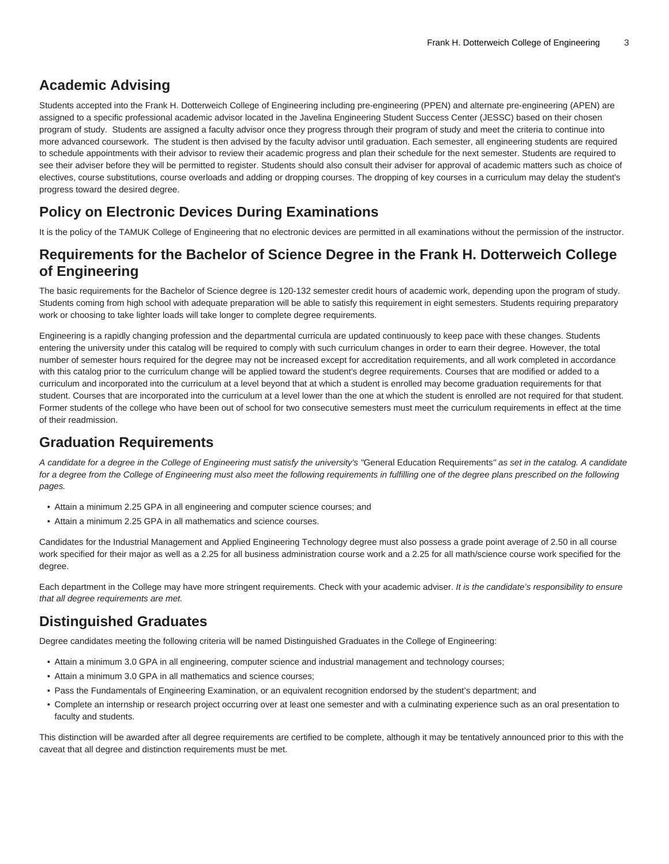## **Academic Advising**

Students accepted into the Frank H. Dotterweich College of Engineering including pre-engineering (PPEN) and alternate pre-engineering (APEN) are assigned to a specific professional academic advisor located in the Javelina Engineering Student Success Center (JESSC) based on their chosen program of study. Students are assigned a faculty advisor once they progress through their program of study and meet the criteria to continue into more advanced coursework. The student is then advised by the faculty advisor until graduation. Each semester, all engineering students are required to schedule appointments with their advisor to review their academic progress and plan their schedule for the next semester. Students are required to see their adviser before they will be permitted to register. Students should also consult their adviser for approval of academic matters such as choice of electives, course substitutions, course overloads and adding or dropping courses. The dropping of key courses in a curriculum may delay the student's progress toward the desired degree.

# **Policy on Electronic Devices During Examinations**

It is the policy of the TAMUK College of Engineering that no electronic devices are permitted in all examinations without the permission of the instructor.

### **Requirements for the Bachelor of Science Degree in the Frank H. Dotterweich College of Engineering**

The basic requirements for the Bachelor of Science degree is 120-132 semester credit hours of academic work, depending upon the program of study. Students coming from high school with adequate preparation will be able to satisfy this requirement in eight semesters. Students requiring preparatory work or choosing to take lighter loads will take longer to complete degree requirements.

Engineering is a rapidly changing profession and the departmental curricula are updated continuously to keep pace with these changes. Students entering the university under this catalog will be required to comply with such curriculum changes in order to earn their degree. However, the total number of semester hours required for the degree may not be increased except for accreditation requirements, and all work completed in accordance with this catalog prior to the curriculum change will be applied toward the student's degree requirements. Courses that are modified or added to a curriculum and incorporated into the curriculum at a level beyond that at which a student is enrolled may become graduation requirements for that student. Courses that are incorporated into the curriculum at a level lower than the one at which the student is enrolled are not required for that student. Former students of the college who have been out of school for two consecutive semesters must meet the curriculum requirements in effect at the time of their readmission.

## **Graduation Requirements**

A candidate for a degree in the College of Engineering must satisfy the university's "[General Education Requirements](https://catalog.tamuk.edu/undergraduate/general-requirements-graduation-baccalaureate-degree/)" as set in the catalog. A candidate for a degree from the College of Engineering must also meet the following requirements in fulfilling one of the degree plans prescribed on the following pages.

- Attain a minimum 2.25 GPA in all engineering and computer science courses; and
- Attain a minimum 2.25 GPA in all mathematics and science courses.

Candidates for the Industrial Management and Applied Engineering Technology degree must also possess a grade point average of 2.50 in all course work specified for their major as well as a 2.25 for all business administration course work and a 2.25 for all math/science course work specified for the degree.

Each department in the College may have more stringent requirements. Check with your academic adviser. It is the candidate's responsibility to ensure that all degree requirements are met.

# **Distinguished Graduates**

Degree candidates meeting the following criteria will be named Distinguished Graduates in the College of Engineering:

- Attain a minimum 3.0 GPA in all engineering, computer science and industrial management and technology courses;
- Attain a minimum 3.0 GPA in all mathematics and science courses;
- Pass the Fundamentals of Engineering Examination, or an equivalent recognition endorsed by the student's department; and
- Complete an internship or research project occurring over at least one semester and with a culminating experience such as an oral presentation to faculty and students.

This distinction will be awarded after all degree requirements are certified to be complete, although it may be tentatively announced prior to this with the caveat that all degree and distinction requirements must be met.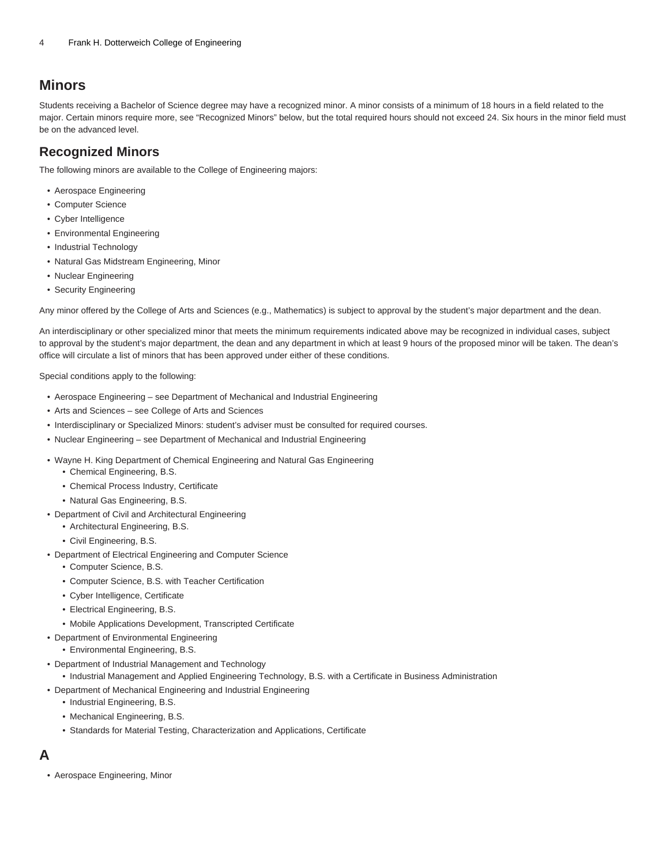#### **Minors**

Students receiving a Bachelor of Science degree may have a recognized minor. A minor consists of a minimum of 18 hours in a field related to the major. Certain minors require more, see "Recognized Minors" below, but the total required hours should not exceed 24. Six hours in the minor field must be on the advanced level.

#### **Recognized Minors**

The following minors are available to the College of Engineering majors:

- Aerospace Engineering
- Computer Science
- Cyber Intelligence
- Environmental Engineering
- Industrial Technology
- Natural Gas Midstream Engineering, Minor
- Nuclear Engineering
- Security Engineering

Any minor offered by the College of Arts and Sciences (e.g., Mathematics) is subject to approval by the student's major department and the dean.

An interdisciplinary or other specialized minor that meets the minimum requirements indicated above may be recognized in individual cases, subject to approval by the student's major department, the dean and any department in which at least 9 hours of the proposed minor will be taken. The dean's office will circulate a list of minors that has been approved under either of these conditions.

Special conditions apply to the following:

- Aerospace Engineering see Department of Mechanical and Industrial Engineering
- Arts and Sciences see College of Arts and Sciences
- Interdisciplinary or Specialized Minors: student's adviser must be consulted for required courses.
- Nuclear Engineering see Department of Mechanical and Industrial Engineering
- [Wayne H. King Department of Chemical Engineering and Natural Gas Engineering](https://catalog.tamuk.edu/undergraduate/engineering/chemical-natural-gas/)
	- [Chemical Engineering, B.S.](https://catalog.tamuk.edu/undergraduate/engineering/chemical-natural-gas/chemical-engineering-bs/)
	- [Chemical Process Industry, Certificate](https://catalog.tamuk.edu/undergraduate/engineering/chemical-natural-gas/chemical-process-industry-certificate/)
	- [Natural Gas Engineering, B.S.](https://catalog.tamuk.edu/undergraduate/engineering/chemical-natural-gas/natural-gas-engineering-bs/)
- [Department of Civil and Architectural Engineering](https://catalog.tamuk.edu/undergraduate/engineering/civil-architectural/)
	- [Architectural Engineering, B.S.](https://catalog.tamuk.edu/undergraduate/engineering/civil-architectural/architectural-engineering-bs/)
	- [Civil Engineering, B.S.](https://catalog.tamuk.edu/undergraduate/engineering/civil-architectural/civil-engineering-bs/)
- [Department of Electrical Engineering and Computer Science](https://catalog.tamuk.edu/undergraduate/engineering/electrical-computer-science/)
	- [Computer Science, B.S.](https://catalog.tamuk.edu/undergraduate/engineering/electrical-computer-science/computer-science-bs/)
	- [Computer Science, B.S. with Teacher Certification](https://catalog.tamuk.edu/undergraduate/engineering/electrical-computer-science/computer-science-bs-teacher-certification/)
	- [Cyber Intelligence, Certificate](https://catalog.tamuk.edu/undergraduate/engineering/electrical-computer-science/cyber-intelligence-certificate/)
	- [Electrical Engineering, B.S.](https://catalog.tamuk.edu/undergraduate/engineering/electrical-computer-science/electrical-engineering-bs/)
	- [Mobile Applications Development, Transcripted Certificate](https://catalog.tamuk.edu/undergraduate/engineering/electrical-computer-science/mobile-applications-development-certificate/)
- [Department of Environmental Engineering](https://catalog.tamuk.edu/undergraduate/engineering/environmental/)
	- [Environmental Engineering, B.S.](https://catalog.tamuk.edu/undergraduate/engineering/environmental/environmental-engineering-bs/)
- [Department of Industrial Management and Technology](https://catalog.tamuk.edu/undergraduate/engineering/industrial-management-technology/)
	- [Industrial Management and Applied Engineering Technology, B.S. with a Certificate in Business Administration](https://catalog.tamuk.edu/undergraduate/engineering/industrial-management-technology/industrial-management-technology-bs-certificate-business-administration/)
- [Department of Mechanical Engineering and Industrial Engineering](https://catalog.tamuk.edu/undergraduate/engineering/mechanical-industrial/)
	- [Industrial Engineering, B.S.](https://catalog.tamuk.edu/undergraduate/engineering/mechanical-industrial/industrial-engineering-bs/)
	- [Mechanical Engineering, B.S.](https://catalog.tamuk.edu/undergraduate/engineering/mechanical-industrial/mechanical-engineering-bs/)
	- [Standards for Material Testing, Characterization and Applications, Certificate](https://catalog.tamuk.edu/undergraduate/engineering/mechanical-industrial/standards-material-testing-certificate/)

## **A**

• [Aerospace Engineering, Minor](https://catalog.tamuk.edu/undergraduate/engineering/minors/aerospace-engineering-minor/)